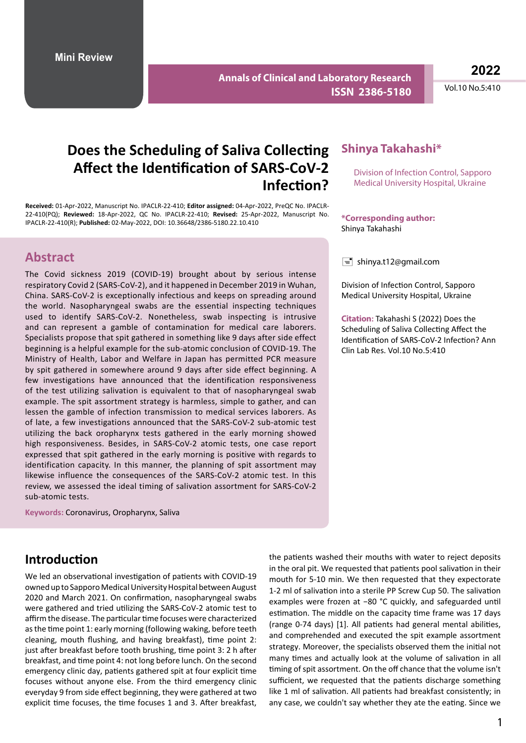**Annals of Clinical and Laboratory Research ISSN 2386-5180**

**2022**

Vol.10 No.5:410

# **Does the Scheduling of Saliva Collecting Affect the Identification of SARS-CoV-2 Infection?**

**Received:** 01-Apr-2022, Manuscript No. IPACLR-22-410; **Editor assigned:** 04-Apr-2022, PreQC No. IPACLR-22-410(PQ); **Reviewed:** 18-Apr-2022, QC No. IPACLR-22-410; **Revised:** 25-Apr-2022, Manuscript No. IPACLR-22-410(R); **Published:** 02-May-2022, DOI: 10.36648/2386-5180.22.10.410

### **Abstract**

The Covid sickness 2019 (COVID-19) brought about by serious intense respiratory Covid 2 (SARS-CoV-2), and it happened in December 2019 in Wuhan, China. SARS-CoV-2 is exceptionally infectious and keeps on spreading around the world. Nasopharyngeal swabs are the essential inspecting techniques used to identify SARS-CoV-2. Nonetheless, swab inspecting is intrusive and can represent a gamble of contamination for medical care laborers. Specialists propose that spit gathered in something like 9 days after side effect beginning is a helpful example for the sub-atomic conclusion of COVID-19. The Ministry of Health, Labor and Welfare in Japan has permitted PCR measure by spit gathered in somewhere around 9 days after side effect beginning. A few investigations have announced that the identification responsiveness of the test utilizing salivation is equivalent to that of nasopharyngeal swab example. The spit assortment strategy is harmless, simple to gather, and can lessen the gamble of infection transmission to medical services laborers. As of late, a few investigations announced that the SARS-CoV-2 sub-atomic test utilizing the back oropharynx tests gathered in the early morning showed high responsiveness. Besides, in SARS-CoV-2 atomic tests, one case report expressed that spit gathered in the early morning is positive with regards to identification capacity. In this manner, the planning of spit assortment may likewise influence the consequences of the SARS-CoV-2 atomic test. In this review, we assessed the ideal timing of salivation assortment for SARS-CoV-2 sub-atomic tests.

**Keywords:** Coronavirus, Oropharynx, Saliva

### **Introduction**

We led an observational investigation of patients with COVID-19 owned up to Sapporo Medical University Hospital between August 2020 and March 2021. On confirmation, nasopharyngeal swabs were gathered and tried utilizing the SARS-CoV-2 atomic test to affirm the disease. The particular time focuses were characterized as the time point 1: early morning (following waking, before teeth cleaning, mouth flushing, and having breakfast), time point 2: just after breakfast before tooth brushing, time point 3: 2 h after breakfast, and time point 4: not long before lunch. On the second emergency clinic day, patients gathered spit at four explicit time focuses without anyone else. From the third emergency clinic everyday 9 from side effect beginning, they were gathered at two explicit time focuses, the time focuses 1 and 3. After breakfast,

#### **Shinya Takahashi\***

Division of Infection Control, Sapporo Medical University Hospital, Ukraine

**\*Corresponding author:** Shinya Takahashi

 $\equiv$  shinya.t12@gmail.com

Division of Infection Control, Sapporo Medical University Hospital, Ukraine

**Citation:** Takahashi S (2022) Does the Scheduling of Saliva Collecting Affect the Identification of SARS-CoV-2 Infection? Ann Clin Lab Res. Vol.10 No.5:410

the patients washed their mouths with water to reject deposits in the oral pit. We requested that patients pool salivation in their mouth for 5-10 min. We then requested that they expectorate 1-2 ml of salivation into a sterile PP Screw Cup 50. The salivation examples were frozen at −80 °C quickly, and safeguarded until estimation. The middle on the capacity time frame was 17 days (range 0-74 days) [1]. All patients had general mental abilities, and comprehended and executed the spit example assortment strategy. Moreover, the specialists observed them the initial not many times and actually look at the volume of salivation in all timing of spit assortment. On the off chance that the volume isn't sufficient, we requested that the patients discharge something like 1 ml of salivation. All patients had breakfast consistently; in any case, we couldn't say whether they ate the eating. Since we